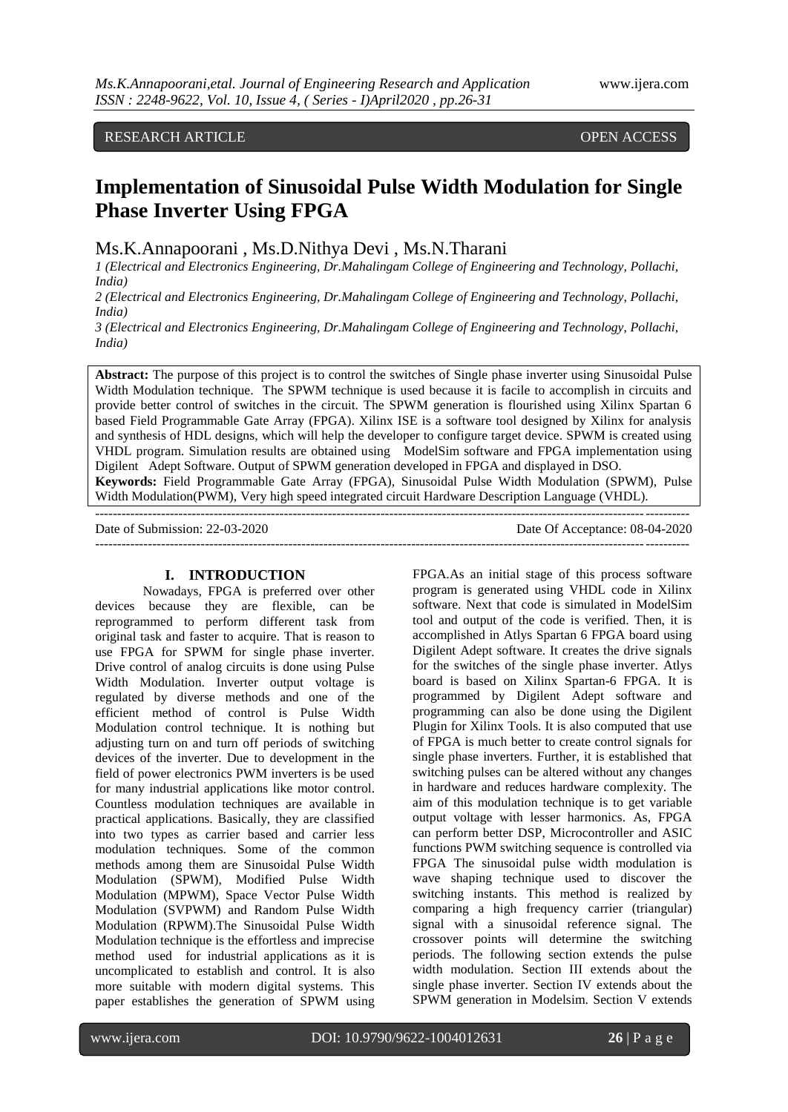# RESEARCH ARTICLE **CONSERVERS** OPEN ACCESS

# **Implementation of Sinusoidal Pulse Width Modulation for Single Phase Inverter Using FPGA**

Ms.K.Annapoorani , Ms.D.Nithya Devi , Ms.N.Tharani

*1 (Electrical and Electronics Engineering, Dr.Mahalingam College of Engineering and Technology, Pollachi, India)*

*2 (Electrical and Electronics Engineering, Dr.Mahalingam College of Engineering and Technology, Pollachi, India)*

*3 (Electrical and Electronics Engineering, Dr.Mahalingam College of Engineering and Technology, Pollachi, India)*

**Abstract:** The purpose of this project is to control the switches of Single phase inverter using Sinusoidal Pulse Width Modulation technique. The SPWM technique is used because it is facile to accomplish in circuits and provide better control of switches in the circuit. The SPWM generation is flourished using Xilinx Spartan 6 based Field Programmable Gate Array (FPGA). Xilinx ISE is a software tool designed by Xilinx for analysis and synthesis of HDL designs, which will help the developer to configure target device. SPWM is created using VHDL program. Simulation results are obtained using ModelSim software and FPGA implementation using Digilent Adept Software. Output of SPWM generation developed in FPGA and displayed in DSO. **Keywords:** Field Programmable Gate Array (FPGA), Sinusoidal Pulse Width Modulation (SPWM), Pulse Width Modulation(PWM), Very high speed integrated circuit Hardware Description Language (VHDL).

---------------------------------------------------------------------------------------------------------------------------------------

Date of Submission: 22-03-2020 Date Of Acceptance: 08-04-2020 ---------------------------------------------------------------------------------------------------------------------------------------

#### **I. INTRODUCTION**

Nowadays, FPGA is preferred over other devices because they are flexible, can be reprogrammed to perform different task from original task and faster to acquire. That is reason to use FPGA for SPWM for single phase inverter. Drive control of analog circuits is done using Pulse Width Modulation. Inverter output voltage is regulated by diverse methods and one of the efficient method of control is Pulse Width Modulation control technique. It is nothing but adjusting turn on and turn off periods of switching devices of the inverter. Due to development in the field of power electronics PWM inverters is be used for many industrial applications like motor control. Countless modulation techniques are available in practical applications. Basically, they are classified into two types as carrier based and carrier less modulation techniques. Some of the common methods among them are Sinusoidal Pulse Width Modulation (SPWM), Modified Pulse Width Modulation (MPWM), Space Vector Pulse Width Modulation (SVPWM) and Random Pulse Width Modulation (RPWM).The Sinusoidal Pulse Width Modulation technique is the effortless and imprecise method used for industrial applications as it is uncomplicated to establish and control. It is also more suitable with modern digital systems. This paper establishes the generation of SPWM using FPGA.As an initial stage of this process software program is generated using VHDL code in Xilinx software. Next that code is simulated in ModelSim tool and output of the code is verified. Then, it is accomplished in Atlys Spartan 6 FPGA board using Digilent Adept software. It creates the drive signals for the switches of the single phase inverter. Atlys board is based on Xilinx Spartan-6 FPGA. It is programmed by Digilent Adept software and programming can also be done using the Digilent Plugin for Xilinx Tools. It is also computed that use of FPGA is much better to create control signals for single phase inverters. Further, it is established that switching pulses can be altered without any changes in hardware and reduces hardware complexity. The aim of this modulation technique is to get variable output voltage with lesser harmonics. As, FPGA can perform better DSP, Microcontroller and ASIC functions PWM switching sequence is controlled via FPGA The sinusoidal pulse width modulation is wave shaping technique used to discover the switching instants. This method is realized by comparing a high frequency carrier (triangular) signal with a sinusoidal reference signal. The crossover points will determine the switching periods. The following section extends the pulse width modulation. Section III extends about the single phase inverter. Section IV extends about the SPWM generation in Modelsim. Section V extends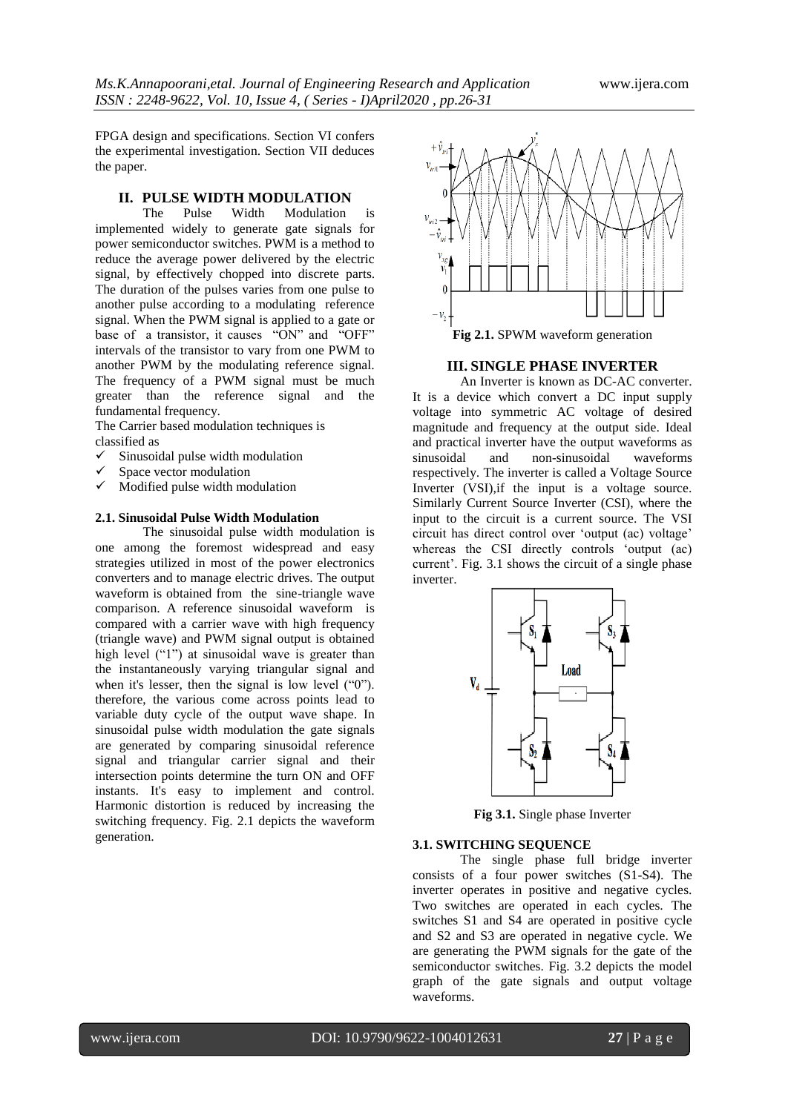FPGA design and specifications. Section VI confers the experimental investigation. Section VII deduces the paper.

## **II. PULSE WIDTH MODULATION**

The Pulse Width Modulation is implemented widely to generate gate signals for power semiconductor switches. PWM is a method to reduce the average power delivered by the electric signal, by effectively chopped into discrete parts. The duration of the pulses varies from one pulse to another pulse according to a modulating reference signal. When the PWM signal is applied to a gate or base of a transistor, it causes "ON" and "OFF" intervals of the transistor to vary from one PWM to another PWM by the modulating reference signal. The frequency of a PWM signal must be much greater than the reference signal and the fundamental frequency.

The Carrier based modulation techniques is classified as

- $\checkmark$  Sinusoidal pulse width modulation
- Space vector modulation
- $\checkmark$  Modified pulse width modulation

#### **2.1. Sinusoidal Pulse Width Modulation**

The sinusoidal pulse width modulation is one among the foremost widespread and easy strategies utilized in most of the power electronics converters and to manage electric drives. The output waveform is obtained from the sine-triangle wave comparison. A reference sinusoidal waveform is compared with a carrier wave with high frequency (triangle wave) and PWM signal output is obtained high level ("1") at sinusoidal wave is greater than the instantaneously varying triangular signal and when it's lesser, then the signal is low level ("0"). therefore, the various come across points lead to variable duty cycle of the output wave shape. In sinusoidal pulse width modulation the gate signals are generated by comparing sinusoidal reference signal and triangular carrier signal and their intersection points determine the turn ON and OFF instants. It's easy to implement and control. Harmonic distortion is reduced by increasing the switching frequency. Fig. 2.1 depicts the waveform generation.



# **III. SINGLE PHASE INVERTER**

An Inverter is known as DC-AC converter. It is a device which convert a DC input supply voltage into symmetric AC voltage of desired magnitude and frequency at the output side. Ideal and practical inverter have the output waveforms as<br>sinusoidal and non-sinusoidal waveforms non-sinusoidal respectively. The inverter is called a Voltage Source Inverter (VSI),if the input is a voltage source. Similarly Current Source Inverter (CSI), where the input to the circuit is a current source. The VSI circuit has direct control over "output (ac) voltage" whereas the CSI directly controls "output (ac) current'. Fig. 3.1 shows the circuit of a single phase inverter.



**Fig 3.1.** Single phase Inverter

#### **3.1. SWITCHING SEQUENCE**

The single phase full bridge inverter consists of a four power switches (S1-S4). The inverter operates in positive and negative cycles. Two switches are operated in each cycles. The switches S1 and S4 are operated in positive cycle and S2 and S3 are operated in negative cycle. We are generating the PWM signals for the gate of the semiconductor switches. Fig. 3.2 depicts the model graph of the gate signals and output voltage waveforms.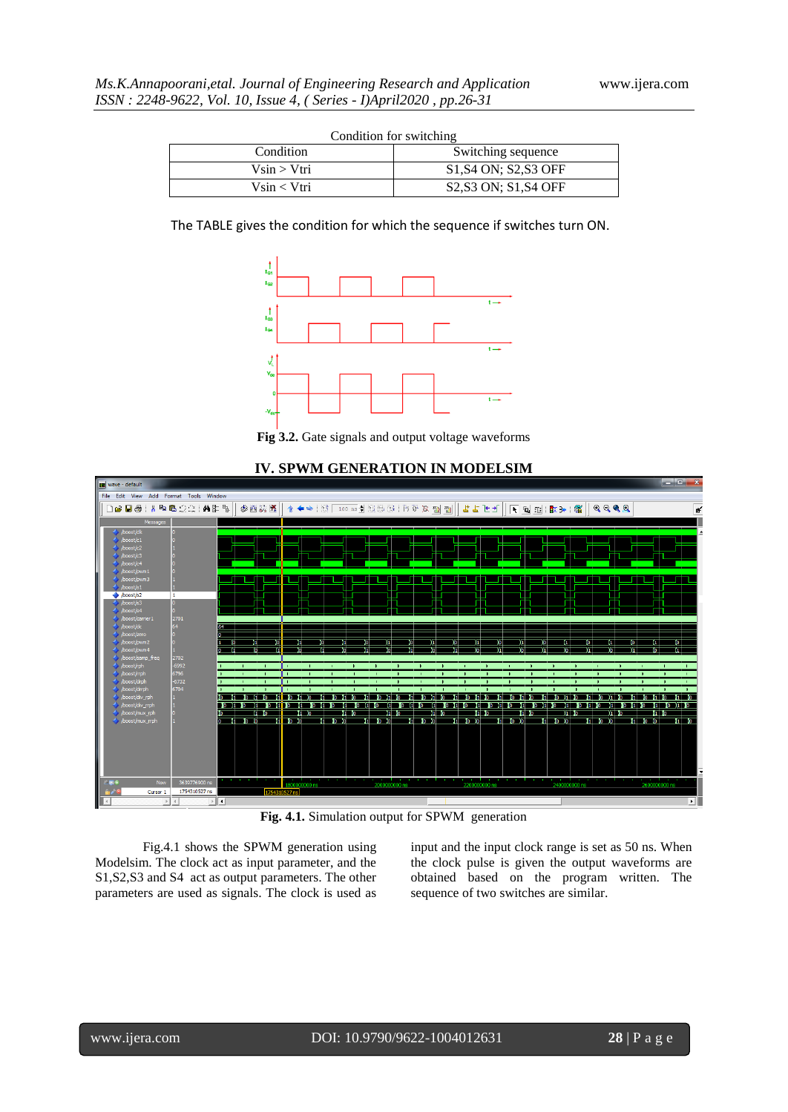| Condition for switching |                                                                         |
|-------------------------|-------------------------------------------------------------------------|
| Condition               | Switching sequence                                                      |
| $V\sin > Vtri$          | S <sub>1</sub> , S <sub>4</sub> ON: S <sub>2</sub> , S <sub>3</sub> OFF |
| $V\sin < V$ tri         | S2, S3 ON; S1, S4 OFF                                                   |

Condition for switching



**Fig 3.2.** Gate signals and output voltage waveforms



**IV. SPWM GENERATION IN MODELSIM**

**Fig. 4.1.** Simulation output for SPWM generation

Fig.4.1 shows the SPWM generation using Modelsim. The clock act as input parameter, and the S1,S2,S3 and S4 act as output parameters. The other parameters are used as signals. The clock is used as

input and the input clock range is set as 50 ns. When the clock pulse is given the output waveforms are obtained based on the program written. The sequence of two switches are similar.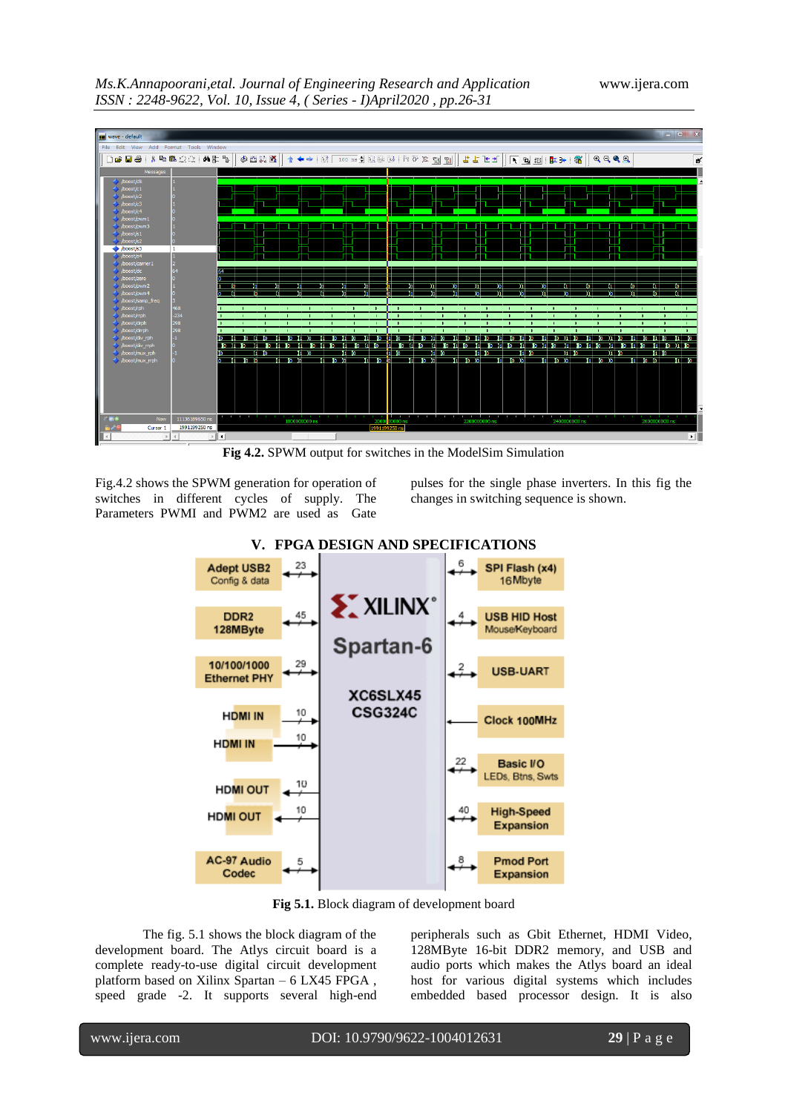



**Fig 4.2.** SPWM output for switches in the ModelSim Simulation

Fig.4.2 shows the SPWM generation for operation of switches in different cycles of supply. The Parameters PWMI and PWM2 are used as Gate

pulses for the single phase inverters. In this fig the changes in switching sequence is shown.



## **V. FPGA DESIGN AND SPECIFICATIONS**

**Fig 5.1.** Block diagram of development board

The fig. 5.1 shows the block diagram of the development board. The Atlys circuit board is a complete ready-to-use digital circuit development platform based on Xilinx Spartan – 6 LX45 FPGA , speed grade -2. It supports several high-end peripherals such as Gbit Ethernet, HDMI Video, 128MByte 16-bit DDR2 memory, and USB and audio ports which makes the Atlys board an ideal host for various digital systems which includes embedded based processor design. It is also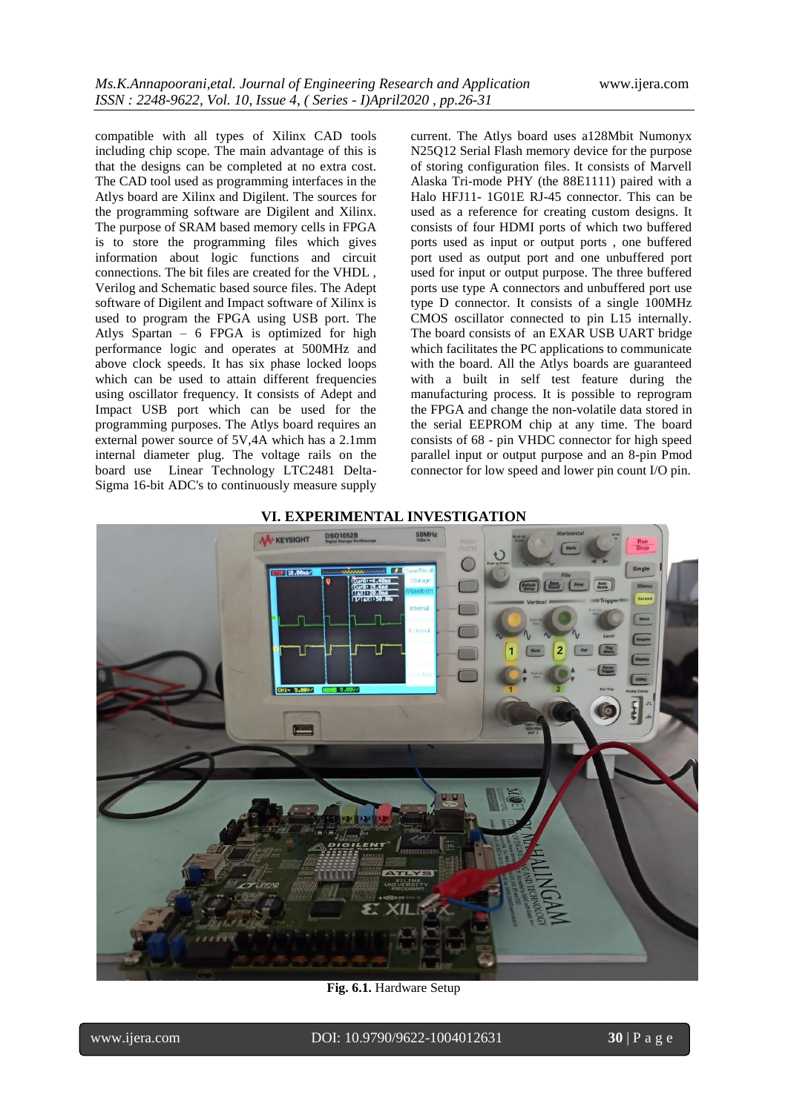compatible with all types of Xilinx CAD tools including chip scope. The main advantage of this is that the designs can be completed at no extra cost. The CAD tool used as programming interfaces in the Atlys board are Xilinx and Digilent. The sources for the programming software are Digilent and Xilinx. The purpose of SRAM based memory cells in FPGA is to store the programming files which gives information about logic functions and circuit connections. The bit files are created for the VHDL , Verilog and Schematic based source files. The Adept software of Digilent and Impact software of Xilinx is used to program the FPGA using USB port. The Atlys Spartan – 6 FPGA is optimized for high performance logic and operates at 500MHz and above clock speeds. It has six phase locked loops which can be used to attain different frequencies using oscillator frequency. It consists of Adept and Impact USB port which can be used for the programming purposes. The Atlys board requires an external power source of 5V,4A which has a 2.1mm internal diameter plug. The voltage rails on the board use Linear Technology LTC2481 Delta-Sigma 16-bit ADC's to continuously measure supply

current. The Atlys board uses a128Mbit Numonyx N25Q12 Serial Flash memory device for the purpose of storing configuration files. It consists of Marvell Alaska Tri-mode PHY (the 88E1111) paired with a Halo HFJ11- 1G01E RJ-45 connector. This can be used as a reference for creating custom designs. It consists of four HDMI ports of which two buffered ports used as input or output ports , one buffered port used as output port and one unbuffered port used for input or output purpose. The three buffered ports use type A connectors and unbuffered port use type D connector. It consists of a single 100MHz CMOS oscillator connected to pin L15 internally. The board consists of an EXAR USB UART bridge which facilitates the PC applications to communicate with the board. All the Atlys boards are guaranteed with a built in self test feature during the manufacturing process. It is possible to reprogram the FPGA and change the non-volatile data stored in the serial EEPROM chip at any time. The board consists of 68 - pin VHDC connector for high speed parallel input or output purpose and an 8-pin Pmod connector for low speed and lower pin count I/O pin.

## **VI. EXPERIMENTAL INVESTIGATION**



**Fig. 6.1.** Hardware Setup